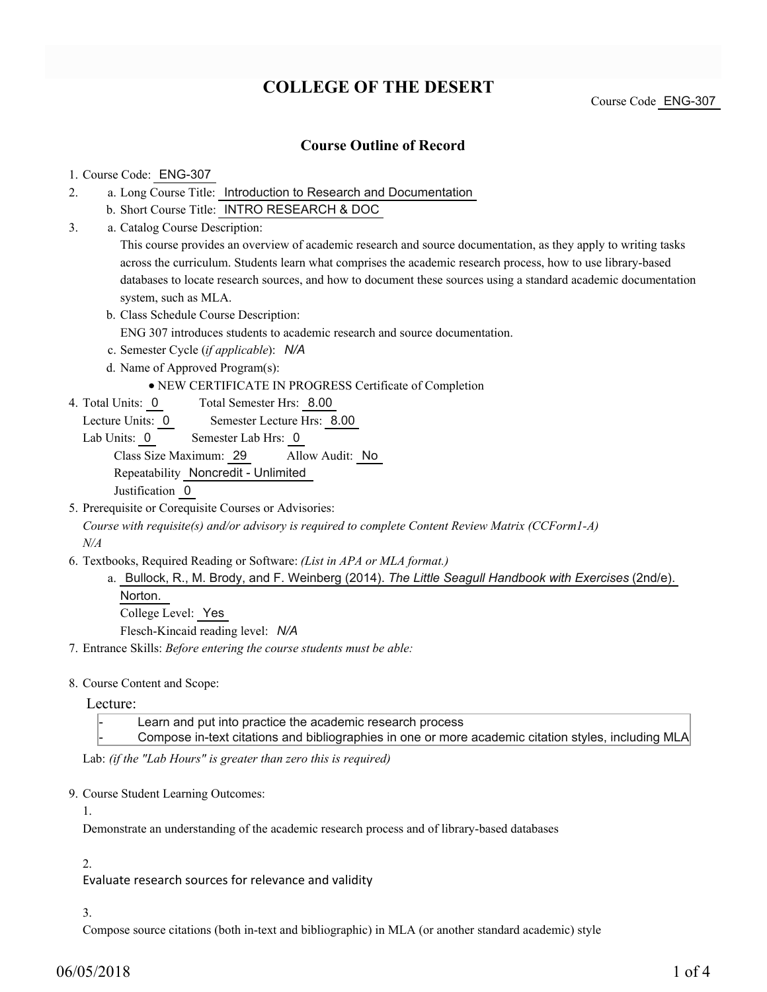# **COLLEGE OF THE DESERT**

Course Code ENG-307

# **Course Outline of Record**

## 1. Course Code: ENG-307

- a. Long Course Title: Introduction to Research and Documentation 2.
	- b. Short Course Title: INTRO RESEARCH & DOC
- Catalog Course Description: a. 3.

This course provides an overview of academic research and source documentation, as they apply to writing tasks across the curriculum. Students learn what comprises the academic research process, how to use library-based databases to locate research sources, and how to document these sources using a standard academic documentation system, such as MLA.

b. Class Schedule Course Description:

ENG 307 introduces students to academic research and source documentation.

- c. Semester Cycle (*if applicable*): *N/A*
- d. Name of Approved Program(s):

# NEW CERTIFICATE IN PROGRESS Certificate of Completion

- Total Semester Hrs: 8.00 4. Total Units: 0
	- Lecture Units: 0 Semester Lecture Hrs: 8.00
	- Lab Units: 0 Semester Lab Hrs: 0

Class Size Maximum: 29 Allow Audit: No

Repeatability Noncredit - Unlimited

Justification 0

5. Prerequisite or Corequisite Courses or Advisories:

*Course with requisite(s) and/or advisory is required to complete Content Review Matrix (CCForm1-A) N/A*

- Textbooks, Required Reading or Software: *(List in APA or MLA format.)* 6.
	- a. Bullock, R., M. Brody, and F. Weinberg (2014). *The Little Seagull Handbook with Exercises* (2nd/e). Norton. College Level: Yes

Flesch-Kincaid reading level: *N/A*

7. Entrance Skills: *Before entering the course students must be able:*

#### 8. Course Content and Scope:

#### Lecture:

Learn and put into practice the academic research process

Compose in-text citations and bibliographies in one or more academic citation styles, including MLA

Lab: *(if the "Lab Hours" is greater than zero this is required)*

#### 9. Course Student Learning Outcomes:

## 1.

Demonstrate an understanding of the academic research process and of library-based databases

#### 2.

Evaluate research sources for relevance and validity

#### 3.

Compose source citations (both in-text and bibliographic) in MLA (or another standard academic) style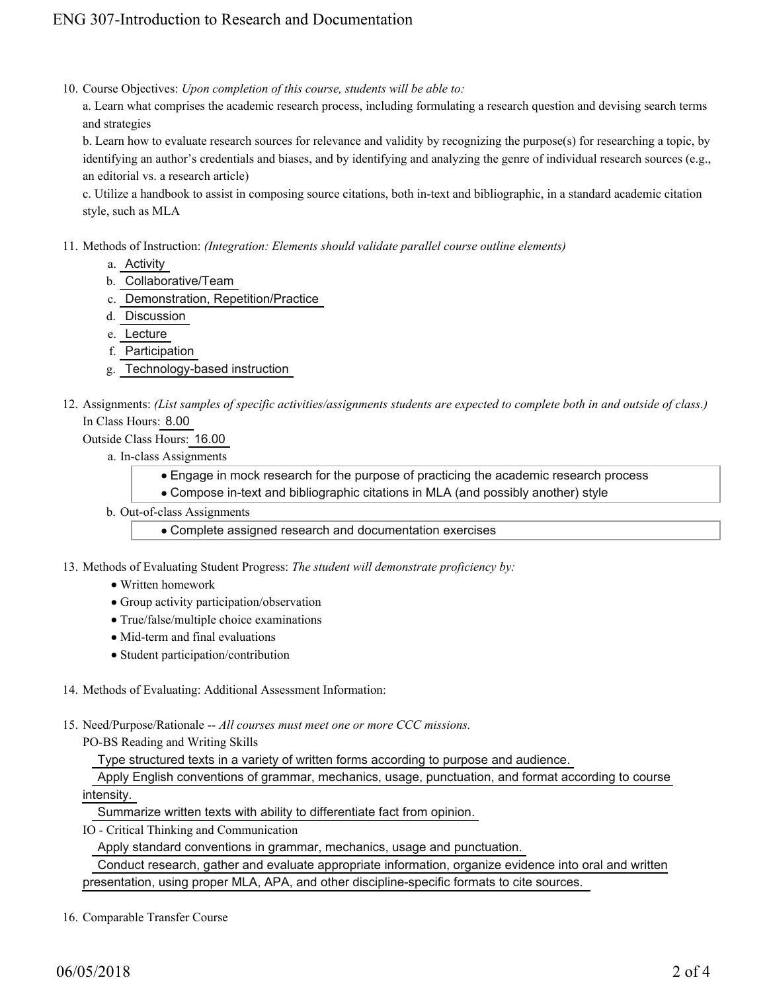10. Course Objectives: Upon completion of this course, students will be able to:

a. Learn what comprises the academic research process, including formulating a research question and devising search terms and strategies

b. Learn how to evaluate research sources for relevance and validity by recognizing the purpose(s) for researching a topic, by identifying an author's credentials and biases, and by identifying and analyzing the genre of individual research sources (e.g., an editorial vs. a research article)

c. Utilize a handbook to assist in composing source citations, both in-text and bibliographic, in a standard academic citation style, such as MLA

- Methods of Instruction: *(Integration: Elements should validate parallel course outline elements)* 11.
	- a. Activity
	- b. Collaborative/Team
	- c. Demonstration, Repetition/Practice
	- d. Discussion
	- e. Lecture
	- f. Participation
	- g. Technology-based instruction
- 12. Assignments: (List samples of specific activities/assignments students are expected to complete both in and outside of class.) In Class Hours: 8.00

Outside Class Hours: 16.00

- a. In-class Assignments
	- Engage in mock research for the purpose of practicing the academic research process
	- Compose in-text and bibliographic citations in MLA (and possibly another) style
- b. Out-of-class Assignments

Complete assigned research and documentation exercises

- 13. Methods of Evaluating Student Progress: The student will demonstrate proficiency by:
	- Written homework
	- Group activity participation/observation
	- True/false/multiple choice examinations
	- Mid-term and final evaluations
	- Student participation/contribution
- 14. Methods of Evaluating: Additional Assessment Information:
- 15. Need/Purpose/Rationale -- All courses must meet one or more CCC missions.
	- PO-BS Reading and Writing Skills

Type structured texts in a variety of written forms according to purpose and audience.

 Apply English conventions of grammar, mechanics, usage, punctuation, and format according to course intensity.

Summarize written texts with ability to differentiate fact from opinion.

IO - Critical Thinking and Communication

Apply standard conventions in grammar, mechanics, usage and punctuation.

 Conduct research, gather and evaluate appropriate information, organize evidence into oral and written presentation, using proper MLA, APA, and other discipline-specific formats to cite sources.

16. Comparable Transfer Course